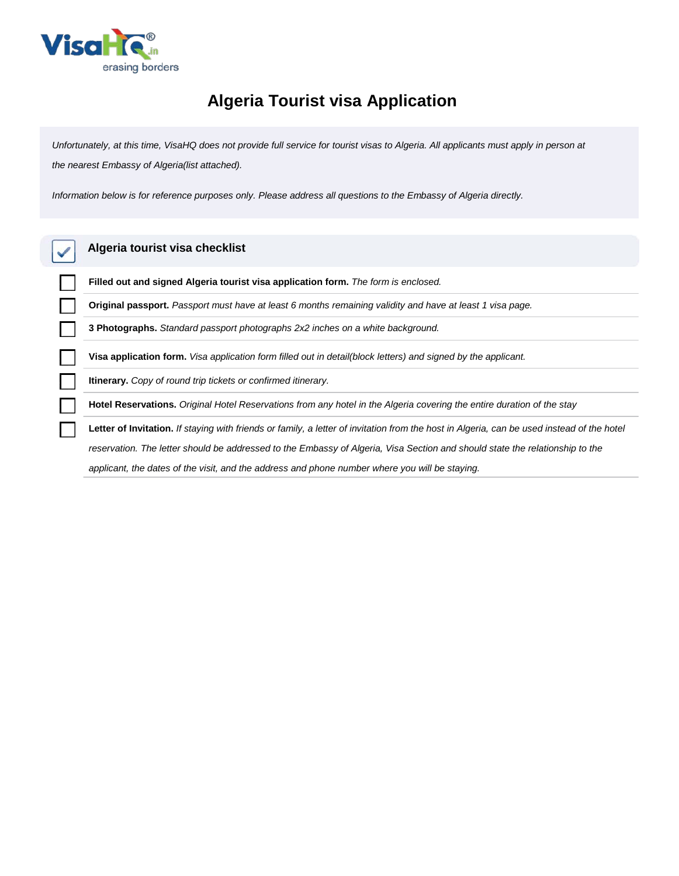

## **Algeria Tourist visa Application**

*Unfortunately, at this time, VisaHQ does not provide full service for tourist visas to Algeria. All applicants must apply in person at the nearest Embassy of Algeria(list attached).*

*Information below is for reference purposes only. Please address all questions to the Embassy of Algeria directly.*

| Algeria tourist visa checklist                                                                                                            |  |  |  |
|-------------------------------------------------------------------------------------------------------------------------------------------|--|--|--|
| Filled out and signed Algeria tourist visa application form. The form is enclosed.                                                        |  |  |  |
| Original passport. Passport must have at least 6 months remaining validity and have at least 1 visa page.                                 |  |  |  |
| <b>3 Photographs.</b> Standard passport photographs 2x2 inches on a white background.                                                     |  |  |  |
| Visa application form. Visa application form filled out in detail(block letters) and signed by the applicant.                             |  |  |  |
| <b>Itinerary.</b> Copy of round trip tickets or confirmed itinerary.                                                                      |  |  |  |
| Hotel Reservations. Original Hotel Reservations from any hotel in the Algeria covering the entire duration of the stay                    |  |  |  |
| Letter of Invitation. If staying with friends or family, a letter of invitation from the host in Algeria, can be used instead of the hote |  |  |  |
| reservation. The letter should be addressed to the Embassy of Algeria, Visa Section and should state the relationship to the              |  |  |  |

*applicant, the dates of the visit, and the address and phone number where you will be staying.*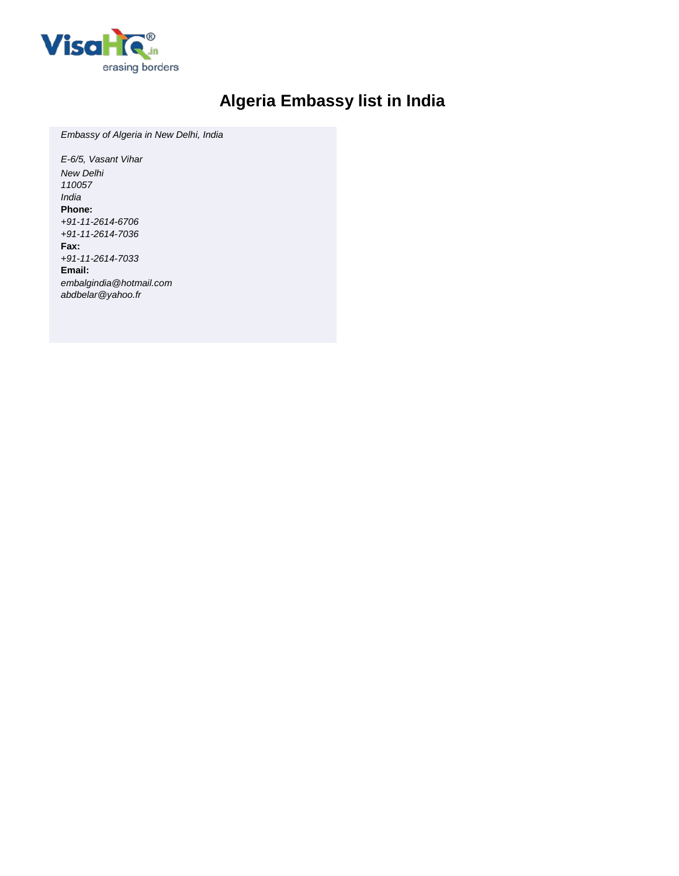

## **Algeria Embassy list in India**

*Embassy of Algeria in New Delhi, India*

*E-6/5, Vasant Vihar New Delhi 110057 India* **Phone:** *+91-11-2614-6706 +91-11-2614-7036* **Fax:** *+91-11-2614-7033* **Email:** *embalgindia@hotmail.com abdbelar@yahoo.fr*